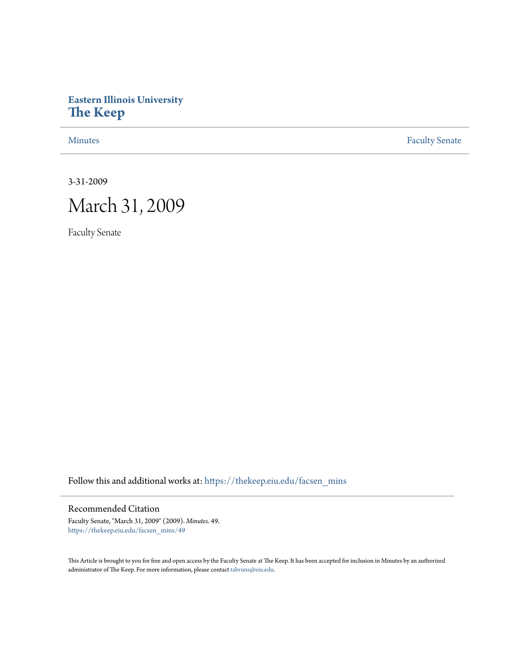### **Eastern Illinois University [The Keep](https://thekeep.eiu.edu?utm_source=thekeep.eiu.edu%2Ffacsen_mins%2F49&utm_medium=PDF&utm_campaign=PDFCoverPages)**

[Minutes](https://thekeep.eiu.edu/facsen_mins?utm_source=thekeep.eiu.edu%2Ffacsen_mins%2F49&utm_medium=PDF&utm_campaign=PDFCoverPages) **[Faculty Senate](https://thekeep.eiu.edu/fac_senate?utm_source=thekeep.eiu.edu%2Ffacsen_mins%2F49&utm_medium=PDF&utm_campaign=PDFCoverPages)** 

3-31-2009

# March 31, 2009

Faculty Senate

Follow this and additional works at: [https://thekeep.eiu.edu/facsen\\_mins](https://thekeep.eiu.edu/facsen_mins?utm_source=thekeep.eiu.edu%2Ffacsen_mins%2F49&utm_medium=PDF&utm_campaign=PDFCoverPages)

### Recommended Citation

Faculty Senate, "March 31, 2009" (2009). *Minutes*. 49. [https://thekeep.eiu.edu/facsen\\_mins/49](https://thekeep.eiu.edu/facsen_mins/49?utm_source=thekeep.eiu.edu%2Ffacsen_mins%2F49&utm_medium=PDF&utm_campaign=PDFCoverPages)

This Article is brought to you for free and open access by the Faculty Senate at The Keep. It has been accepted for inclusion in Minutes by an authorized administrator of The Keep. For more information, please contact [tabruns@eiu.edu.](mailto:tabruns@eiu.edu)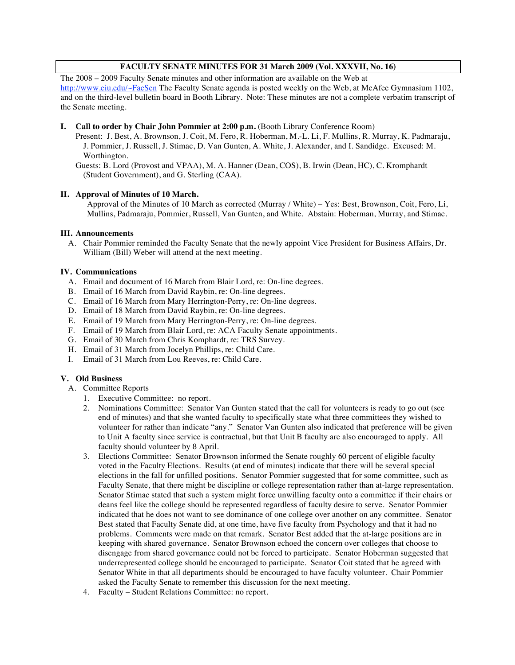### **FACULTY SENATE MINUTES FOR 31 March 2009 (Vol. XXXVII, No. 16)**

The 2008 – 2009 Faculty Senate minutes and other information are available on the Web at http://www.eiu.edu/~FacSen The Faculty Senate agenda is posted weekly on the Web, at McAfee Gymnasium 1102, and on the third-level bulletin board in Booth Library. Note: These minutes are not a complete verbatim transcript of the Senate meeting.

### **I. Call to order by Chair John Pommier at 2:00 p.m.** (Booth Library Conference Room)

Present: J. Best, A. Brownson, J. Coit, M. Fero, R. Hoberman, M.-L. Li, F. Mullins, R. Murray, K. Padmaraju, J. Pommier, J. Russell, J. Stimac, D. Van Gunten, A. White, J. Alexander, and I. Sandidge. Excused: M. Worthington.

Guests: B. Lord (Provost and VPAA), M. A. Hanner (Dean, COS), B. Irwin (Dean, HC), C. Kromphardt (Student Government), and G. Sterling (CAA).

### **II. Approval of Minutes of 10 March.**

Approval of the Minutes of 10 March as corrected (Murray / White) – Yes: Best, Brownson, Coit, Fero, Li, Mullins, Padmaraju, Pommier, Russell, Van Gunten, and White. Abstain: Hoberman, Murray, and Stimac.

### **III. Announcements**

A. Chair Pommier reminded the Faculty Senate that the newly appoint Vice President for Business Affairs, Dr. William (Bill) Weber will attend at the next meeting.

### **IV. Communications**

- A. Email and document of 16 March from Blair Lord, re: On-line degrees.
- B. Email of 16 March from David Raybin, re: On-line degrees.
- C. Email of 16 March from Mary Herrington-Perry, re: On-line degrees.
- D. Email of 18 March from David Raybin, re: On-line degrees.
- E. Email of 19 March from Mary Herrington-Perry, re: On-line degrees.
- F. Email of 19 March from Blair Lord, re: ACA Faculty Senate appointments.
- G. Email of 30 March from Chris Komphardt, re: TRS Survey.
- H. Email of 31 March from Jocelyn Phillips, re: Child Care.
- I. Email of 31 March from Lou Reeves, re: Child Care.

### **V. Old Business**

- A. Committee Reports
	- 1. Executive Committee: no report.
	- 2. Nominations Committee: Senator Van Gunten stated that the call for volunteers is ready to go out (see end of minutes) and that she wanted faculty to specifically state what three committees they wished to volunteer for rather than indicate "any." Senator Van Gunten also indicated that preference will be given to Unit A faculty since service is contractual, but that Unit B faculty are also encouraged to apply. All faculty should volunteer by 8 April.
	- 3. Elections Committee: Senator Brownson informed the Senate roughly 60 percent of eligible faculty voted in the Faculty Elections. Results (at end of minutes) indicate that there will be several special elections in the fall for unfilled positions. Senator Pommier suggested that for some committee, such as Faculty Senate, that there might be discipline or college representation rather than at-large representation. Senator Stimac stated that such a system might force unwilling faculty onto a committee if their chairs or deans feel like the college should be represented regardless of faculty desire to serve. Senator Pommier indicated that he does not want to see dominance of one college over another on any committee. Senator Best stated that Faculty Senate did, at one time, have five faculty from Psychology and that it had no problems. Comments were made on that remark. Senator Best added that the at-large positions are in keeping with shared governance. Senator Brownson echoed the concern over colleges that choose to disengage from shared governance could not be forced to participate. Senator Hoberman suggested that underrepresented college should be encouraged to participate. Senator Coit stated that he agreed with Senator White in that all departments should be encouraged to have faculty volunteer. Chair Pommier asked the Faculty Senate to remember this discussion for the next meeting.
	- 4. Faculty Student Relations Committee: no report.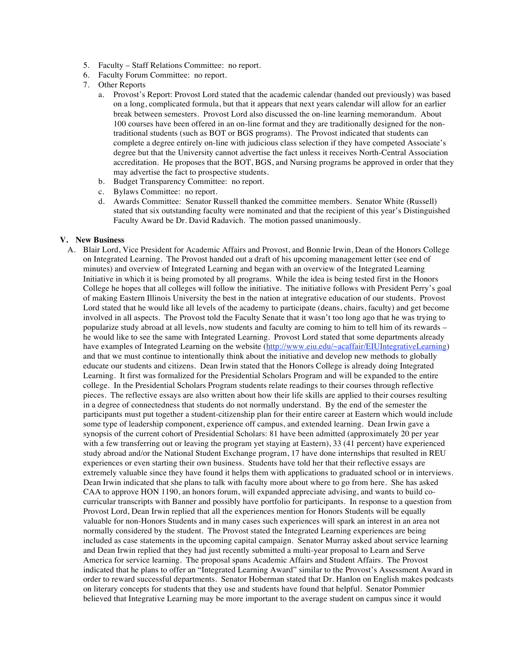- 5. Faculty Staff Relations Committee: no report.
- 6. Faculty Forum Committee: no report.
- 7. Other Reports
	- a. Provost's Report: Provost Lord stated that the academic calendar (handed out previously) was based on a long, complicated formula, but that it appears that next years calendar will allow for an earlier break between semesters. Provost Lord also discussed the on-line learning memorandum. About 100 courses have been offered in an on-line format and they are traditionally designed for the nontraditional students (such as BOT or BGS programs). The Provost indicated that students can complete a degree entirely on-line with judicious class selection if they have competed Associate's degree but that the University cannot advertise the fact unless it receives North-Central Association accreditation. He proposes that the BOT, BGS, and Nursing programs be approved in order that they may advertise the fact to prospective students.
	- b. Budget Transparency Committee: no report.
	- c. Bylaws Committee: no report.
	- d. Awards Committee: Senator Russell thanked the committee members. Senator White (Russell) stated that six outstanding faculty were nominated and that the recipient of this year's Distinguished Faculty Award be Dr. David Radavich. The motion passed unanimously.

#### **V. New Business**

A. Blair Lord, Vice President for Academic Affairs and Provost, and Bonnie Irwin, Dean of the Honors College on Integrated Learning. The Provost handed out a draft of his upcoming management letter (see end of minutes) and overview of Integrated Learning and began with an overview of the Integrated Learning Initiative in which it is being promoted by all programs. While the idea is being tested first in the Honors College he hopes that all colleges will follow the initiative. The initiative follows with President Perry's goal of making Eastern Illinois University the best in the nation at integrative education of our students. Provost Lord stated that he would like all levels of the academy to participate (deans, chairs, faculty) and get become involved in all aspects. The Provost told the Faculty Senate that it wasn't too long ago that he was trying to popularize study abroad at all levels, now students and faculty are coming to him to tell him of its rewards – he would like to see the same with Integrated Learning. Provost Lord stated that some departments already have examples of Integrated Learning on the website (http://www.eiu.edu/~acaffair/EIUIntegrativeLearning) and that we must continue to intentionally think about the initiative and develop new methods to globally educate our students and citizens. Dean Irwin stated that the Honors College is already doing Integrated Learning. It first was formalized for the Presidential Scholars Program and will be expanded to the entire college. In the Presidential Scholars Program students relate readings to their courses through reflective pieces. The reflective essays are also written about how their life skills are applied to their courses resulting in a degree of connectedness that students do not normally understand. By the end of the semester the participants must put together a student-citizenship plan for their entire career at Eastern which would include some type of leadership component, experience off campus, and extended learning. Dean Irwin gave a synopsis of the current cohort of Presidential Scholars: 81 have been admitted (approximately 20 per year with a few transferring out or leaving the program yet staying at Eastern), 33 (41 percent) have experienced study abroad and/or the National Student Exchange program, 17 have done internships that resulted in REU experiences or even starting their own business. Students have told her that their reflective essays are extremely valuable since they have found it helps them with applications to graduated school or in interviews. Dean Irwin indicated that she plans to talk with faculty more about where to go from here. She has asked CAA to approve HON 1190, an honors forum, will expanded appreciate advising, and wants to build cocurricular transcripts with Banner and possibly have portfolio for participants. In response to a question from Provost Lord, Dean Irwin replied that all the experiences mention for Honors Students will be equally valuable for non-Honors Students and in many cases such experiences will spark an interest in an area not normally considered by the student. The Provost stated the Integrated Learning experiences are being included as case statements in the upcoming capital campaign. Senator Murray asked about service learning and Dean Irwin replied that they had just recently submitted a multi-year proposal to Learn and Serve America for service learning. The proposal spans Academic Affairs and Student Affairs. The Provost indicated that he plans to offer an "Integrated Learning Award" similar to the Provost's Assessment Award in order to reward successful departments. Senator Hoberman stated that Dr. Hanlon on English makes podcasts on literary concepts for students that they use and students have found that helpful. Senator Pommier believed that Integrative Learning may be more important to the average student on campus since it would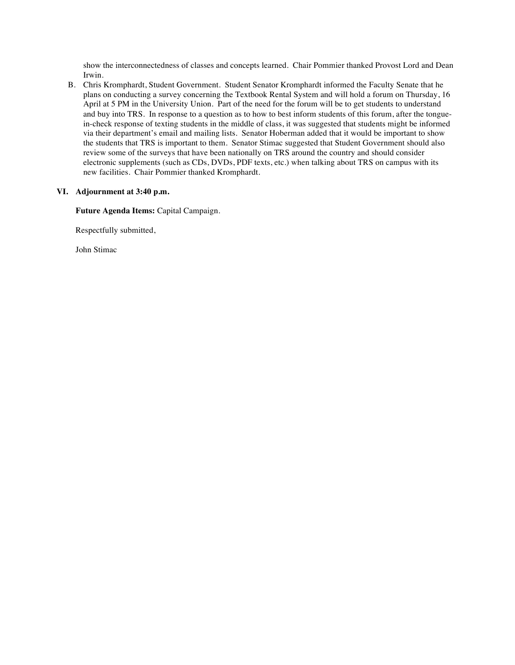show the interconnectedness of classes and concepts learned. Chair Pommier thanked Provost Lord and Dean Irwin.

B. Chris Kromphardt, Student Government. Student Senator Kromphardt informed the Faculty Senate that he plans on conducting a survey concerning the Textbook Rental System and will hold a forum on Thursday, 16 April at 5 PM in the University Union. Part of the need for the forum will be to get students to understand and buy into TRS. In response to a question as to how to best inform students of this forum, after the tonguein-check response of texting students in the middle of class, it was suggested that students might be informed via their department's email and mailing lists. Senator Hoberman added that it would be important to show the students that TRS is important to them. Senator Stimac suggested that Student Government should also review some of the surveys that have been nationally on TRS around the country and should consider electronic supplements (such as CDs, DVDs, PDF texts, etc.) when talking about TRS on campus with its new facilities. Chair Pommier thanked Kromphardt.

### **VI. Adjournment at 3:40 p.m.**

**Future Agenda Items:** Capital Campaign.

Respectfully submitted,

John Stimac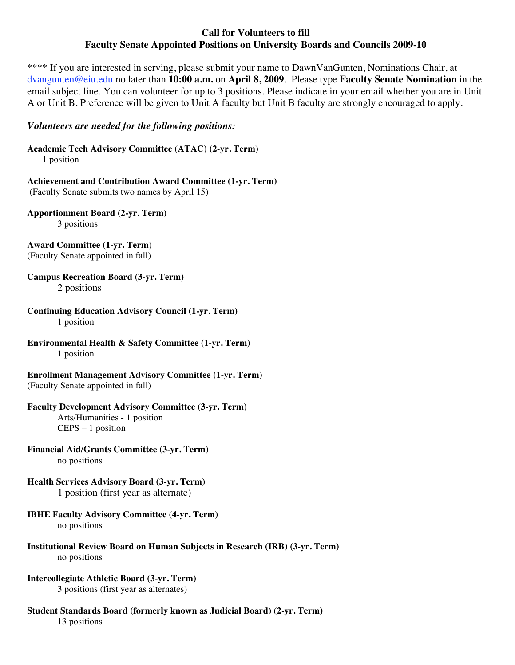### **Call for Volunteers to fill Faculty Senate Appointed Positions on University Boards and Councils 2009-10**

\*\*\*\* If you are interested in serving, please submit your name to **DawnVanGunten**, Nominations Chair, at dvangunten@eiu.edu no later than **10:00 a.m.** on **April 8, 2009**. Please type **Faculty Senate Nomination** in the email subject line. You can volunteer for up to 3 positions. Please indicate in your email whether you are in Unit A or Unit B. Preference will be given to Unit A faculty but Unit B faculty are strongly encouraged to apply.

### *Volunteers are needed for the following positions:*

**Academic Tech Advisory Committee (ATAC) (2-yr. Term)** 1 position

**Achievement and Contribution Award Committee (1-yr. Term)** (Faculty Senate submits two names by April 15)

**Apportionment Board (2-yr. Term)** 3 positions

**Award Committee (1-yr. Term)** (Faculty Senate appointed in fall)

- **Campus Recreation Board (3-yr. Term)** 2 positions
- **Continuing Education Advisory Council (1-yr. Term)** 1 position

**Environmental Health & Safety Committee (1-yr. Term)**  1 position

**Enrollment Management Advisory Committee (1-yr. Term)** (Faculty Senate appointed in fall)

### **Faculty Development Advisory Committee (3-yr. Term)**

Arts/Humanities - 1 position CEPS – 1 position

- **Financial Aid/Grants Committee (3-yr. Term)** no positions
- **Health Services Advisory Board (3-yr. Term)** 1 position (first year as alternate)

## **IBHE Faculty Advisory Committee (4-yr. Term)**

no positions

**Institutional Review Board on Human Subjects in Research (IRB) (3-yr. Term)** no positions

#### **Intercollegiate Athletic Board (3-yr. Term)**  3 positions (first year as alternates)

**Student Standards Board (formerly known as Judicial Board) (2-yr. Term)** 13 positions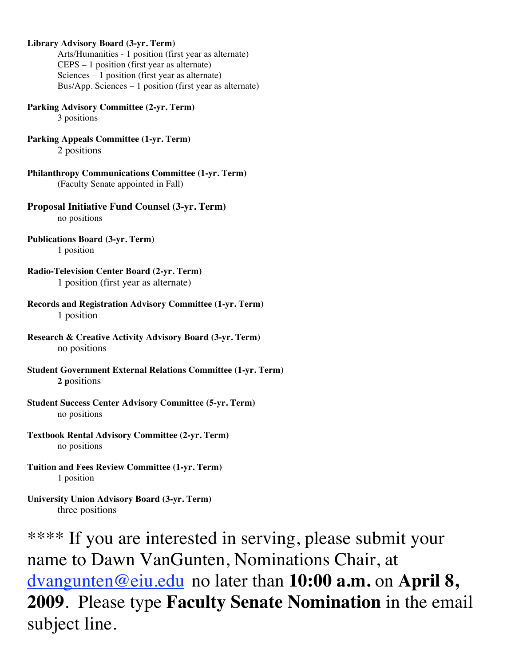### **Library Advisory Board (3-yr. Term)**

Arts/Humanities - 1 position (first year as alternate) CEPS – 1 position (first year as alternate) Sciences – 1 position (first year as alternate) Bus/App. Sciences – 1 position (first year as alternate)

**Parking Advisory Committee (2-yr. Term)**

3 positions

- **Parking Appeals Committee (1-yr. Term)** 2 positions
- **Philanthropy Communications Committee (1-yr. Term)** (Faculty Senate appointed in Fall)

**Proposal Initiative Fund Counsel (3-yr. Term)** no positions

- **Publications Board (3-yr. Term)** 1 position
- **Radio-Television Center Board (2-yr. Term)** 1 position (first year as alternate)
- **Records and Registration Advisory Committee (1-yr. Term)** 1 position
- **Research & Creative Activity Advisory Board (3-yr. Term)** no positions
- **Student Government External Relations Committee (1-yr. Term) 2 p**ositions
- **Student Success Center Advisory Committee (5-yr. Term)** no positions
- **Textbook Rental Advisory Committee (2-yr. Term)** no positions
- **Tuition and Fees Review Committee (1-yr. Term)** 1 position
- **University Union Advisory Board (3-yr. Term)** three positions

\*\*\*\* If you are interested in serving, please submit your name to Dawn VanGunten, Nominations Chair, at dvangunten@eiu.edu no later than **10:00 a.m.** on **April 8, 2009**. Please type **Faculty Senate Nomination** in the email subject line.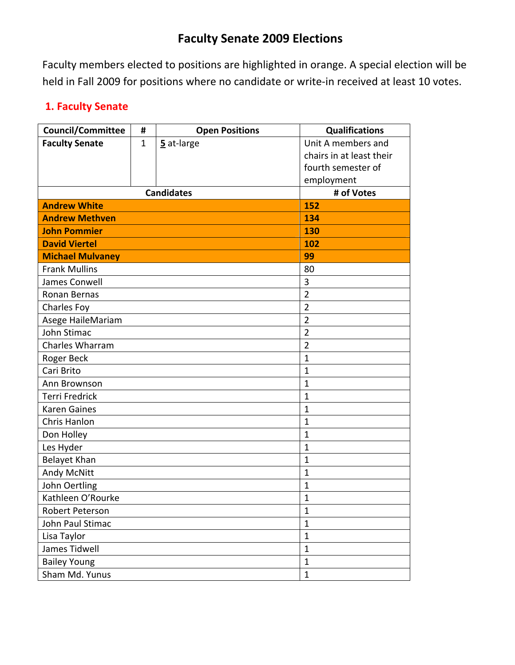## **Faculty Senate 2009 Elections**

Faculty members elected to positions are highlighted in orange. A special election will be held in Fall 2009 for positions where no candidate or write-in received at least 10 votes.

### **1. Faculty Senate**

| <b>Council/Committee</b> | #            | <b>Open Positions</b> | <b>Qualifications</b>    |
|--------------------------|--------------|-----------------------|--------------------------|
| <b>Faculty Senate</b>    | $\mathbf{1}$ | 5 at-large            | Unit A members and       |
|                          |              |                       | chairs in at least their |
|                          |              |                       | fourth semester of       |
|                          |              |                       | employment               |
|                          | # of Votes   |                       |                          |
| <b>Andrew White</b>      |              |                       | <b>152</b>               |
| <b>Andrew Methven</b>    | 134          |                       |                          |
| <b>John Pommier</b>      | 130          |                       |                          |
| <b>David Viertel</b>     |              |                       | 102                      |
| <b>Michael Mulvaney</b>  |              |                       | 99                       |
| <b>Frank Mullins</b>     |              |                       | 80                       |
| James Conwell            |              |                       | 3                        |
| Ronan Bernas             |              |                       | $\overline{2}$           |
| Charles Foy              |              |                       | $\overline{2}$           |
| Asege HaileMariam        |              |                       | $\overline{2}$           |
| John Stimac              |              |                       | $\overline{2}$           |
| Charles Wharram          |              |                       | $\overline{2}$           |
| Roger Beck               |              |                       | $\mathbf{1}$             |
| Cari Brito               |              |                       | $\mathbf{1}$             |
| Ann Brownson             |              |                       | $\mathbf{1}$             |
| <b>Terri Fredrick</b>    |              |                       | $\mathbf{1}$             |
| <b>Karen Gaines</b>      | 1            |                       |                          |
| Chris Hanlon             | $\mathbf{1}$ |                       |                          |
| Don Holley               |              |                       | $\mathbf{1}$             |
| Les Hyder                |              |                       | $\mathbf{1}$             |
| Belayet Khan             |              |                       | $\mathbf{1}$             |
| <b>Andy McNitt</b>       | $\mathbf{1}$ |                       |                          |
| John Oertling            | $\mathbf{1}$ |                       |                          |
| Kathleen O'Rourke        | $\mathbf{1}$ |                       |                          |
| Robert Peterson          | $\mathbf{1}$ |                       |                          |
| John Paul Stimac         | $\mathbf{1}$ |                       |                          |
| Lisa Taylor              | $\mathbf{1}$ |                       |                          |
| James Tidwell            |              |                       | $\mathbf{1}$             |
| <b>Bailey Young</b>      |              |                       | $\mathbf{1}$             |
| Sham Md. Yunus           | $\mathbf{1}$ |                       |                          |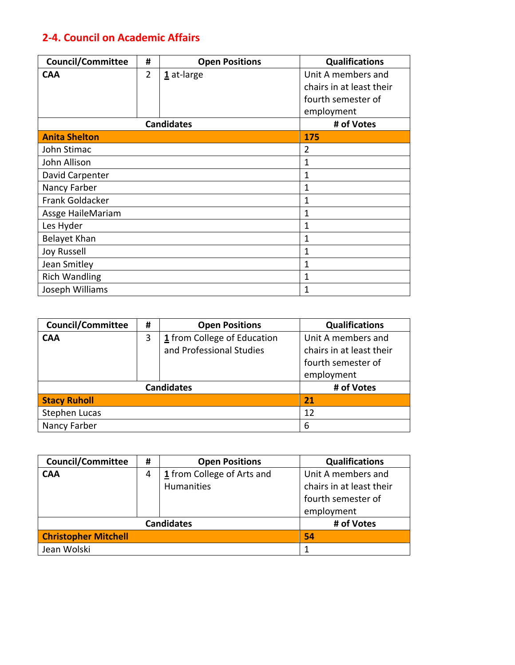### **2‐4. Council on Academic Affairs**

| <b>Council/Committee</b> | #              | <b>Open Positions</b> | <b>Qualifications</b>    |
|--------------------------|----------------|-----------------------|--------------------------|
| <b>CAA</b>               | $\overline{2}$ | $1$ at-large          | Unit A members and       |
|                          |                |                       | chairs in at least their |
|                          |                |                       | fourth semester of       |
|                          |                |                       | employment               |
|                          |                | <b>Candidates</b>     | # of Votes               |
| <b>Anita Shelton</b>     |                |                       | 175                      |
| John Stimac              |                |                       | 2                        |
| John Allison             |                |                       | 1                        |
| David Carpenter          |                |                       | 1                        |
| Nancy Farber             |                |                       | 1                        |
| Frank Goldacker          |                |                       | 1                        |
| Assge HaileMariam        |                |                       | 1                        |
| Les Hyder                |                |                       | 1                        |
| Belayet Khan             |                |                       | $\mathbf{1}$             |
| Joy Russell              |                |                       | 1                        |
| Jean Smitley             |                |                       | 1                        |
| <b>Rich Wandling</b>     |                |                       | 1                        |
| Joseph Williams          |                |                       | 1                        |

| <b>Council/Committee</b> | # | <b>Open Positions</b>       | <b>Qualifications</b>    |
|--------------------------|---|-----------------------------|--------------------------|
| <b>CAA</b>               | 3 | 1 from College of Education | Unit A members and       |
|                          |   | and Professional Studies    | chairs in at least their |
|                          |   |                             | fourth semester of       |
|                          |   |                             | employment               |
|                          |   | <b>Candidates</b>           | # of Votes               |
| <b>Stacy Ruholl</b>      |   |                             | 21                       |
| <b>Stephen Lucas</b>     |   |                             | 12                       |
| Nancy Farber             |   |                             | 6                        |

| <b>Council/Committee</b>    | # | <b>Open Positions</b>      | <b>Qualifications</b>    |
|-----------------------------|---|----------------------------|--------------------------|
| <b>CAA</b>                  | 4 | 1 from College of Arts and | Unit A members and       |
|                             |   | Humanities                 | chairs in at least their |
|                             |   |                            | fourth semester of       |
|                             |   |                            | employment               |
|                             |   | <b>Candidates</b>          | # of Votes               |
| <b>Christopher Mitchell</b> |   |                            | 54                       |
| Jean Wolski                 |   |                            |                          |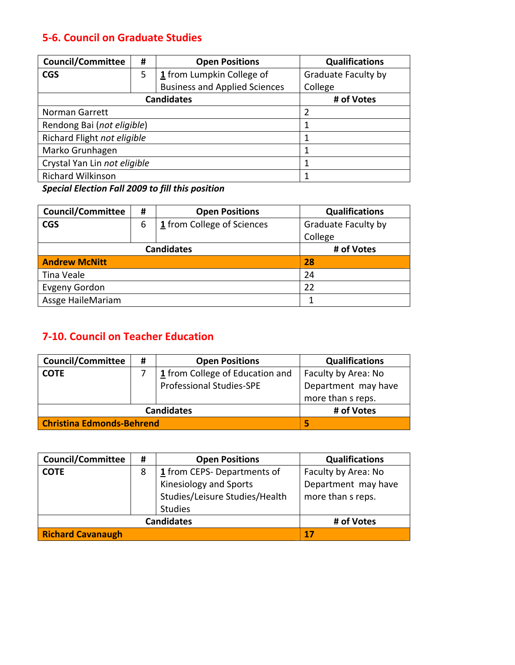### **5‐6. Council on Graduate Studies**

| <b>Council/Committee</b>     | # | <b>Open Positions</b>                | <b>Qualifications</b> |
|------------------------------|---|--------------------------------------|-----------------------|
| <b>CGS</b>                   | 5 | 1 from Lumpkin College of            | Graduate Faculty by   |
|                              |   | <b>Business and Applied Sciences</b> | College               |
| <b>Candidates</b>            |   |                                      | # of Votes            |
| <b>Norman Garrett</b>        | 2 |                                      |                       |
| Rendong Bai (not eligible)   |   |                                      |                       |
| Richard Flight not eligible  |   |                                      |                       |
| Marko Grunhagen              |   |                                      |                       |
| Crystal Yan Lin not eligible |   |                                      |                       |
| <b>Richard Wilkinson</b>     |   |                                      |                       |

*Special Election Fall 2009 to fill this position*

| <b>Council/Committee</b> | #          | <b>Open Positions</b>      | <b>Qualifications</b> |
|--------------------------|------------|----------------------------|-----------------------|
| <b>CGS</b>               | 6          | 1 from College of Sciences | Graduate Faculty by   |
|                          |            |                            | College               |
|                          | # of Votes |                            |                       |
| <b>Andrew McNitt</b>     |            |                            | 28                    |
| Tina Veale               |            |                            | 24                    |
| <b>Evgeny Gordon</b>     |            |                            | 22                    |
| Assge HaileMariam        |            |                            |                       |

### **7‐10. Council on Teacher Education**

| <b>Council/Committee</b>         | # | <b>Open Positions</b>           | <b>Qualifications</b>                    |
|----------------------------------|---|---------------------------------|------------------------------------------|
| <b>COTE</b>                      |   | 1 from College of Education and | Faculty by Area: No                      |
|                                  |   | <b>Professional Studies-SPE</b> | Department may have<br>more than s reps. |
|                                  |   | <b>Candidates</b>               | # of Votes                               |
| <b>Christina Edmonds-Behrend</b> |   |                                 |                                          |

| <b>Council/Committee</b> | # | <b>Open Positions</b>                                                      | <b>Qualifications</b>                    |
|--------------------------|---|----------------------------------------------------------------------------|------------------------------------------|
| <b>COTE</b>              | 8 | 1 from CEPS-Departments of                                                 | Faculty by Area: No                      |
|                          |   | Kinesiology and Sports<br>Studies/Leisure Studies/Health<br><b>Studies</b> | Department may have<br>more than s reps. |
|                          |   | <b>Candidates</b>                                                          | # of Votes                               |
| <b>Richard Cavanaugh</b> |   |                                                                            | 17                                       |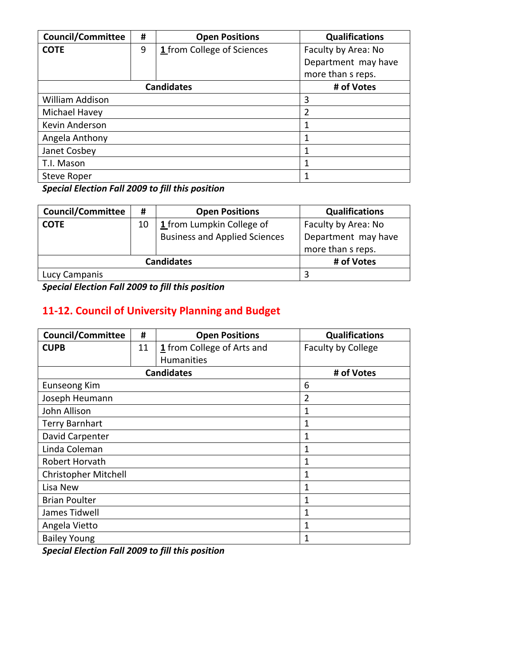| <b>Council/Committee</b> | #          | <b>Open Positions</b>      | <b>Qualifications</b> |
|--------------------------|------------|----------------------------|-----------------------|
| <b>COTE</b>              | 9          | 1 from College of Sciences | Faculty by Area: No   |
|                          |            |                            | Department may have   |
|                          |            |                            | more than s reps.     |
|                          | # of Votes |                            |                       |
| William Addison          |            |                            | 3                     |
| Michael Havey            |            |                            | $\overline{2}$        |
| Kevin Anderson           | 1          |                            |                       |
| Angela Anthony           |            |                            | 1                     |
| Janet Cosbey             |            |                            | 1                     |
| T.I. Mason               |            |                            | 1                     |
| Steve Roper              |            |                            | 1                     |

*Special Election Fall 2009 to fill this position*

| <b>Council/Committee</b> | #  | <b>Open Positions</b>                | <b>Qualifications</b> |
|--------------------------|----|--------------------------------------|-----------------------|
| <b>COTE</b>              | 10 | 1 from Lumpkin College of            | Faculty by Area: No   |
|                          |    | <b>Business and Applied Sciences</b> | Department may have   |
|                          |    |                                      | more than s reps.     |
|                          |    | <b>Candidates</b>                    | # of Votes            |
| Lucy Campanis            |    |                                      |                       |

*Special Election Fall 2009 to fill this position*

## **11‐12. Council of University Planning and Budget**

| <b>Council/Committee</b>    | #  | <b>Open Positions</b>      | <b>Qualifications</b>     |
|-----------------------------|----|----------------------------|---------------------------|
| <b>CUPB</b>                 | 11 | 1 from College of Arts and | <b>Faculty by College</b> |
|                             |    | <b>Humanities</b>          |                           |
|                             |    | <b>Candidates</b>          | # of Votes                |
| <b>Eunseong Kim</b>         |    |                            | 6                         |
| Joseph Heumann              |    |                            | $\overline{2}$            |
| John Allison                |    |                            | 1                         |
| <b>Terry Barnhart</b>       |    |                            | 1                         |
| David Carpenter             |    | 1                          |                           |
| Linda Coleman               |    |                            | 1                         |
| Robert Horvath              |    |                            | 1                         |
| <b>Christopher Mitchell</b> |    |                            | 1                         |
| Lisa New                    |    |                            | 1                         |
| <b>Brian Poulter</b>        |    |                            | 1                         |
| James Tidwell               |    |                            | 1                         |
| Angela Vietto               |    |                            | 1                         |
| <b>Bailey Young</b>         |    |                            | 1                         |

*Special Election Fall 2009 to fill this position*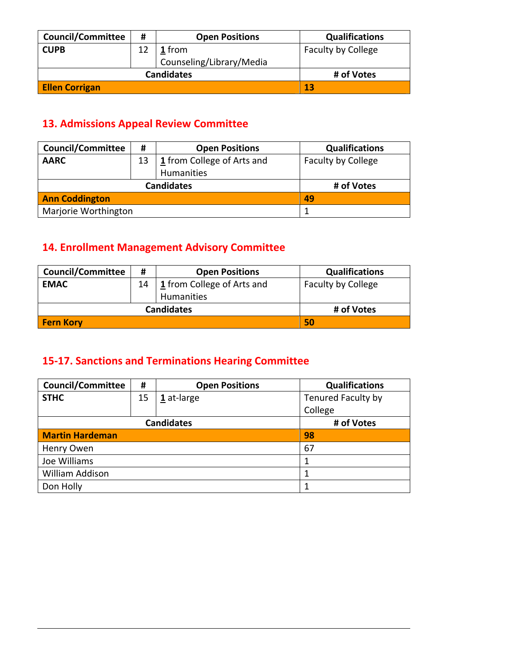| <b>Council/Committee</b> | # | <b>Open Positions</b>    | <b>Qualifications</b>     |
|--------------------------|---|--------------------------|---------------------------|
| <b>CUPB</b>              |   | <b>1</b> from            | <b>Faculty by College</b> |
|                          |   | Counseling/Library/Media |                           |
|                          |   | <b>Candidates</b>        | # of Votes                |
| <b>Ellen Corrigan</b>    |   |                          | 13                        |

### **13. Admissions Appeal Review Committee**

| <b>Council/Committee</b> | #  | <b>Open Positions</b>                    | <b>Qualifications</b>     |
|--------------------------|----|------------------------------------------|---------------------------|
| <b>AARC</b>              | 13 | 1 from College of Arts and<br>Humanities | <b>Faculty by College</b> |
| <b>Candidates</b>        |    |                                          | # of Votes                |
| <b>Ann Coddington</b>    |    |                                          | 49                        |
| Marjorie Worthington     |    |                                          |                           |

## **14. Enrollment Management Advisory Committee**

| <b>Council/Committee</b> | #  | <b>Open Positions</b>                  | <b>Qualifications</b>     |
|--------------------------|----|----------------------------------------|---------------------------|
| <b>EMAC</b>              | 14 | $\frac{1}{2}$ from College of Arts and | <b>Faculty by College</b> |
|                          |    | Humanities                             |                           |
| <b>Candidates</b>        |    |                                        | # of Votes                |
| <b>Fern Kory</b>         |    |                                        | 50                        |

## **15‐17. Sanctions and Terminations Hearing Committee**

| <b>Council/Committee</b> | #  | <b>Open Positions</b> | <b>Qualifications</b> |
|--------------------------|----|-----------------------|-----------------------|
| <b>STHC</b>              | 15 | $1$ at-large          | Tenured Faculty by    |
|                          |    |                       | College               |
|                          |    | <b>Candidates</b>     | # of Votes            |
| <b>Martin Hardeman</b>   |    |                       | 98                    |
| Henry Owen               |    |                       | 67                    |
| Joe Williams             |    |                       |                       |
| William Addison          |    |                       |                       |
| Don Holly                |    |                       |                       |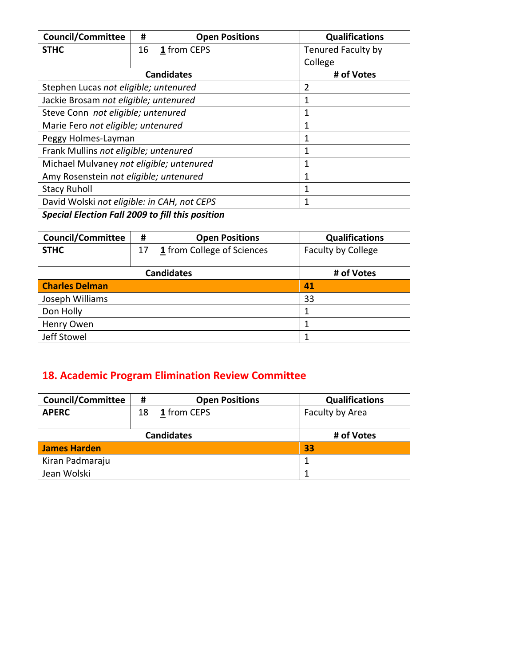| <b>Council/Committee</b>                    | #  | <b>Open Positions</b> | <b>Qualifications</b>     |
|---------------------------------------------|----|-----------------------|---------------------------|
| <b>STHC</b>                                 | 16 | 1 from CEPS           | <b>Tenured Faculty by</b> |
|                                             |    |                       | College                   |
|                                             |    | <b>Candidates</b>     | # of Votes                |
| Stephen Lucas not eligible; untenured       |    |                       | 2                         |
| Jackie Brosam not eligible; untenured       |    |                       | 1                         |
| Steve Conn not eligible; untenured          |    |                       | 1                         |
| Marie Fero not eligible; untenured          |    |                       | 1                         |
| Peggy Holmes-Layman                         |    |                       | 1                         |
| Frank Mullins not eligible; untenured       |    |                       | 1                         |
| Michael Mulvaney not eligible; untenured    |    |                       | 1                         |
| Amy Rosenstein not eligible; untenured      |    |                       | 1                         |
| <b>Stacy Ruholl</b>                         |    |                       | 1                         |
| David Wolski not eligible: in CAH, not CEPS |    |                       |                           |

*Special Election Fall 2009 to fill this position*

| <b>Council/Committee</b> | #  | <b>Open Positions</b>      | <b>Qualifications</b>     |
|--------------------------|----|----------------------------|---------------------------|
| <b>STHC</b>              | 17 | 1 from College of Sciences | <b>Faculty by College</b> |
|                          |    |                            |                           |
|                          |    | <b>Candidates</b>          | # of Votes                |
| <b>Charles Delman</b>    |    |                            | 41                        |
| Joseph Williams          |    |                            | 33                        |
| Don Holly                |    |                            |                           |
| Henry Owen               |    |                            |                           |
| Jeff Stowel              |    |                            |                           |

## **18. Academic Program Elimination Review Committee**

| <b>Council/Committee</b> | #          | <b>Open Positions</b> | <b>Qualifications</b> |
|--------------------------|------------|-----------------------|-----------------------|
| <b>APERC</b>             | 18         | 1 from CEPS           | Faculty by Area       |
|                          | # of Votes |                       |                       |
| James Harden             |            |                       | 33                    |
| Kiran Padmaraju          |            |                       |                       |
| Jean Wolski              |            |                       |                       |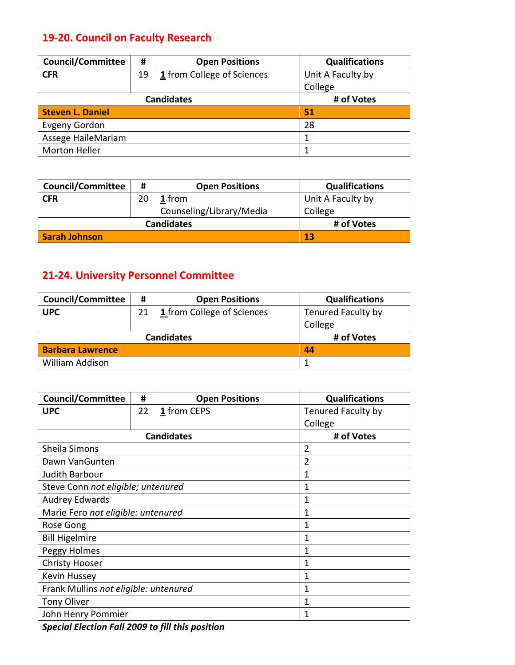## **19‐20. Council on Faculty Research**

| <b>Council/Committee</b> | #  | <b>Open Positions</b>      | <b>Qualifications</b> |
|--------------------------|----|----------------------------|-----------------------|
| <b>CFR</b>               | 19 | 1 from College of Sciences | Unit A Faculty by     |
|                          |    |                            | College               |
| <b>Candidates</b>        |    |                            | # of Votes            |
| <b>Steven L. Daniel</b>  |    |                            | 51                    |
| <b>Evgeny Gordon</b>     |    |                            | 28                    |
| Assege HaileMariam       |    |                            |                       |
| <b>Morton Heller</b>     |    |                            |                       |

| <b>Council/Committee</b> | #  | <b>Open Positions</b>    | <b>Qualifications</b> |
|--------------------------|----|--------------------------|-----------------------|
| <b>CFR</b>               | 20 | 1 from                   | Unit A Faculty by     |
|                          |    | Counseling/Library/Media | College               |
| <b>Candidates</b>        |    |                          | # of Votes            |
| Sarah Johnson            |    |                          | 13                    |

## **21‐24. University Personnel Committee**

| <b>Council/Committee</b> | #  | <b>Open Positions</b>      | <b>Qualifications</b>     |
|--------------------------|----|----------------------------|---------------------------|
| <b>UPC</b>               | 21 | 1 from College of Sciences | <b>Tenured Faculty by</b> |
|                          |    |                            | College                   |
| <b>Candidates</b>        |    |                            | # of Votes                |
| <b>Barbara Lawrence</b>  |    |                            | 44                        |
| William Addison          |    |                            |                           |

| <b>Council/Committee</b>              | #  | <b>Open Positions</b> | <b>Qualifications</b> |
|---------------------------------------|----|-----------------------|-----------------------|
| <b>UPC</b>                            | 22 | 1 from CEPS           | Tenured Faculty by    |
|                                       |    |                       | College               |
|                                       |    | <b>Candidates</b>     | # of Votes            |
| Sheila Simons                         |    |                       | 2                     |
| Dawn VanGunten                        |    |                       | $\overline{2}$        |
| Judith Barbour                        |    |                       | 1                     |
| Steve Conn not eligible; untenured    |    |                       | 1                     |
| <b>Audrey Edwards</b>                 |    |                       | 1                     |
| Marie Fero not eligible: untenured    |    | 1                     |                       |
| Rose Gong                             |    | 1                     |                       |
| <b>Bill Higelmire</b>                 |    |                       | 1                     |
| Peggy Holmes                          |    |                       | 1                     |
| <b>Christy Hooser</b>                 |    |                       | 1                     |
| Kevin Hussey                          |    |                       | 1                     |
| Frank Mullins not eligible: untenured |    |                       | 1                     |
| <b>Tony Oliver</b>                    |    |                       | 1                     |
| John Henry Pommier                    |    |                       | 1                     |

*Special Election Fall 2009 to fill this position*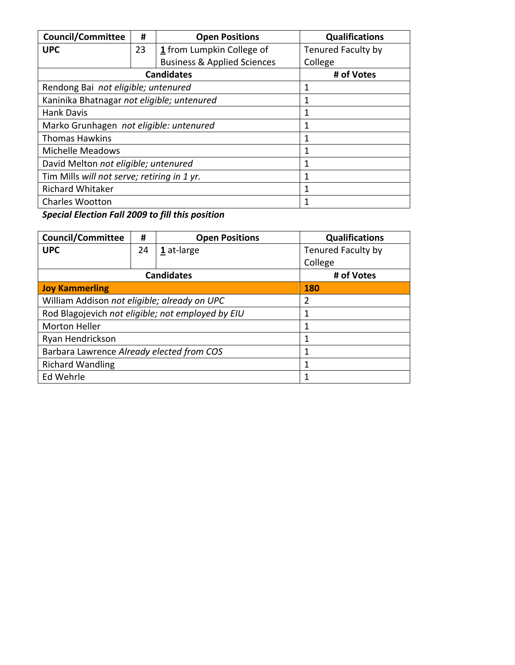| <b>Council/Committee</b>                    | #  | <b>Open Positions</b>                  | <b>Qualifications</b>     |
|---------------------------------------------|----|----------------------------------------|---------------------------|
| <b>UPC</b>                                  | 23 | 1 from Lumpkin College of              | <b>Tenured Faculty by</b> |
|                                             |    | <b>Business &amp; Applied Sciences</b> | College                   |
|                                             |    | <b>Candidates</b>                      | # of Votes                |
| Rendong Bai not eligible; untenured         |    |                                        | 1                         |
| Kaninika Bhatnagar not eligible; untenured  |    |                                        | 1                         |
| <b>Hank Davis</b>                           |    | 1                                      |                           |
| Marko Grunhagen not eligible: untenured     |    | 1                                      |                           |
| <b>Thomas Hawkins</b>                       |    |                                        | 1                         |
| <b>Michelle Meadows</b>                     |    |                                        | 1                         |
| David Melton not eligible; untenured        |    |                                        | 1                         |
| Tim Mills will not serve; retiring in 1 yr. |    |                                        | 1                         |
| <b>Richard Whitaker</b>                     |    |                                        | 1                         |
| <b>Charles Wootton</b>                      |    |                                        |                           |

*Special Election Fall 2009 to fill this position*

| <b>Council/Committee</b>                          | #  | <b>Open Positions</b> | <b>Qualifications</b> |
|---------------------------------------------------|----|-----------------------|-----------------------|
| <b>UPC</b>                                        | 24 | 1 at-large            | Tenured Faculty by    |
|                                                   |    |                       | College               |
|                                                   |    | <b>Candidates</b>     | # of Votes            |
| <b>Joy Kammerling</b>                             |    | <b>180</b>            |                       |
| William Addison not eligible; already on UPC      |    |                       | 2                     |
| Rod Blagojevich not eligible; not employed by EIU |    |                       |                       |
| <b>Morton Heller</b>                              |    |                       |                       |
| Ryan Hendrickson                                  |    |                       |                       |
| Barbara Lawrence Already elected from COS         |    |                       |                       |
| <b>Richard Wandling</b>                           |    |                       |                       |
| Ed Wehrle                                         |    |                       |                       |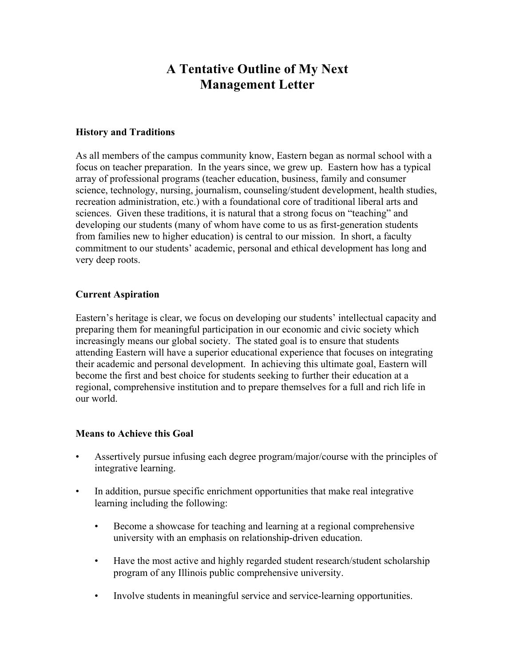## **A Tentative Outline of My Next Management Letter**

### **History and Traditions**

As all members of the campus community know, Eastern began as normal school with a focus on teacher preparation. In the years since, we grew up. Eastern how has a typical array of professional programs (teacher education, business, family and consumer science, technology, nursing, journalism, counseling/student development, health studies, recreation administration, etc.) with a foundational core of traditional liberal arts and sciences. Given these traditions, it is natural that a strong focus on "teaching" and developing our students (many of whom have come to us as first-generation students from families new to higher education) is central to our mission. In short, a faculty commitment to our students' academic, personal and ethical development has long and very deep roots.

### **Current Aspiration**

Eastern's heritage is clear, we focus on developing our students' intellectual capacity and preparing them for meaningful participation in our economic and civic society which increasingly means our global society. The stated goal is to ensure that students attending Eastern will have a superior educational experience that focuses on integrating their academic and personal development. In achieving this ultimate goal, Eastern will become the first and best choice for students seeking to further their education at a regional, comprehensive institution and to prepare themselves for a full and rich life in our world.

### **Means to Achieve this Goal**

- Assertively pursue infusing each degree program/major/course with the principles of integrative learning.
- In addition, pursue specific enrichment opportunities that make real integrative learning including the following:
	- Become a showcase for teaching and learning at a regional comprehensive university with an emphasis on relationship-driven education.
	- Have the most active and highly regarded student research/student scholarship program of any Illinois public comprehensive university.
	- Involve students in meaningful service and service-learning opportunities.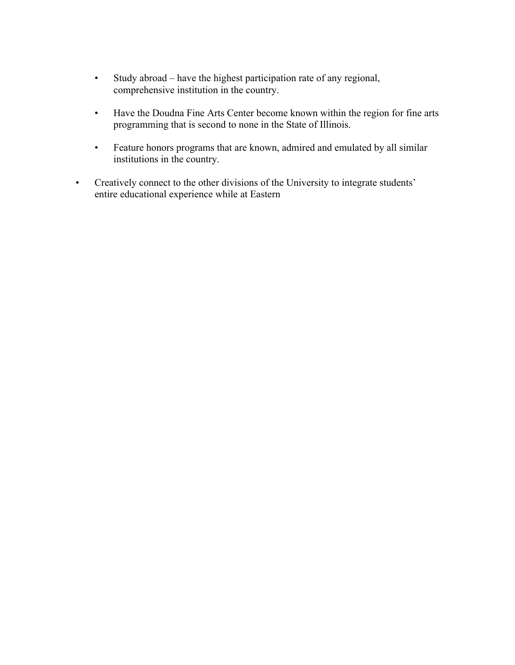- Study abroad have the highest participation rate of any regional, comprehensive institution in the country.
- Have the Doudna Fine Arts Center become known within the region for fine arts programming that is second to none in the State of Illinois.
- Feature honors programs that are known, admired and emulated by all similar institutions in the country.
- Creatively connect to the other divisions of the University to integrate students' entire educational experience while at Eastern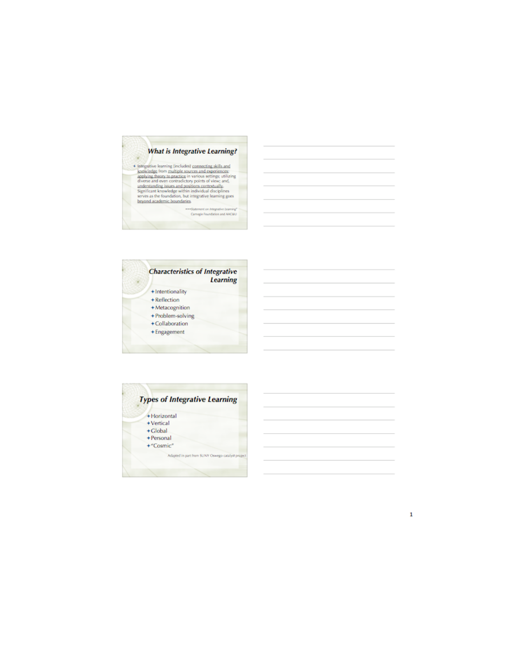### **What is Integrative Learning?**

 $\blacklozenge$  integrative learning (includes) <u>connecting skills and</u> knowledge from <u>multiple sources and experiences</u>: applying theory to practice in various settings (ultimage) diverse and experiences understanding issues an

--- Statement on Integrative Learning\*<br>Camagio Foundation and AAC&U





 $\mathbf{1}$